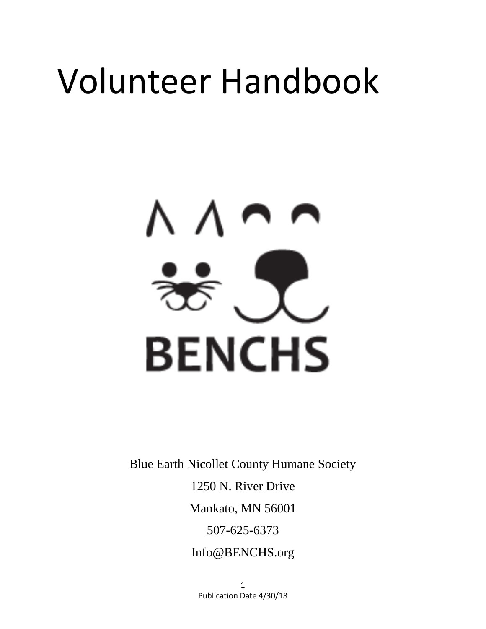# Volunteer Handbook



Blue Earth Nicollet County Humane Society

1250 N. River Drive

Mankato, MN 56001

507-625-6373

Info@BENCHS.org

1 Publication Date 4/30/18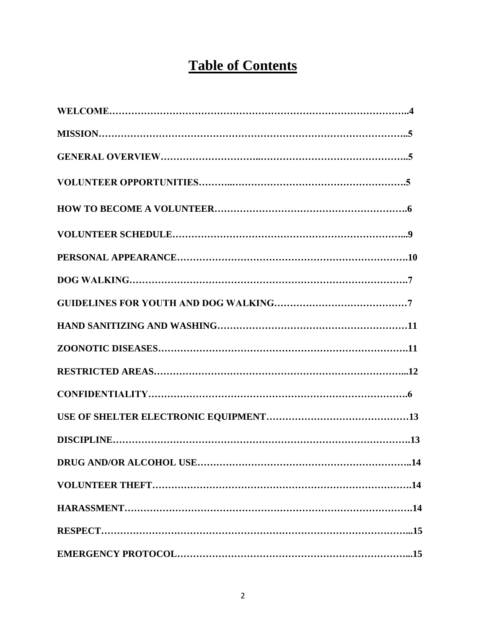# **Table of Contents**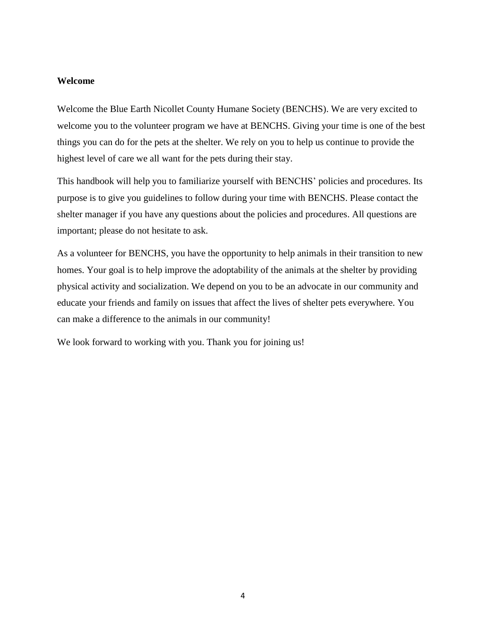#### **Welcome**

Welcome the Blue Earth Nicollet County Humane Society (BENCHS). We are very excited to welcome you to the volunteer program we have at BENCHS. Giving your time is one of the best things you can do for the pets at the shelter. We rely on you to help us continue to provide the highest level of care we all want for the pets during their stay.

This handbook will help you to familiarize yourself with BENCHS' policies and procedures. Its purpose is to give you guidelines to follow during your time with BENCHS. Please contact the shelter manager if you have any questions about the policies and procedures. All questions are important; please do not hesitate to ask.

As a volunteer for BENCHS, you have the opportunity to help animals in their transition to new homes. Your goal is to help improve the adoptability of the animals at the shelter by providing physical activity and socialization. We depend on you to be an advocate in our community and educate your friends and family on issues that affect the lives of shelter pets everywhere. You can make a difference to the animals in our community!

We look forward to working with you. Thank you for joining us!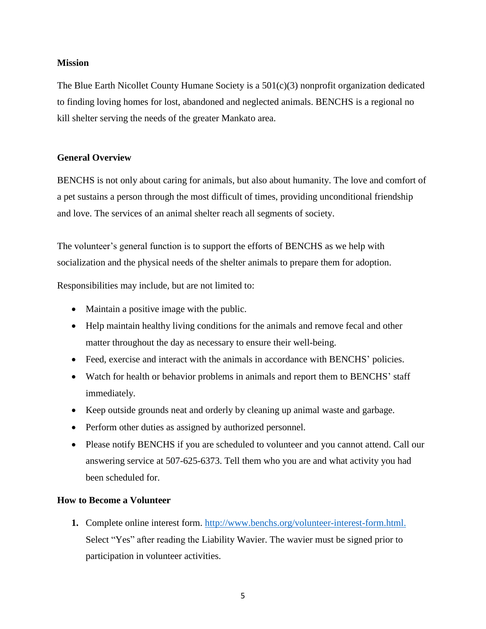#### **Mission**

The Blue Earth Nicollet County Humane Society is a 501(c)(3) nonprofit organization dedicated to finding loving homes for lost, abandoned and neglected animals. BENCHS is a regional no kill shelter serving the needs of the greater Mankato area.

#### **General Overview**

BENCHS is not only about caring for animals, but also about humanity. The love and comfort of a pet sustains a person through the most difficult of times, providing unconditional friendship and love. The services of an animal shelter reach all segments of society.

The volunteer's general function is to support the efforts of BENCHS as we help with socialization and the physical needs of the shelter animals to prepare them for adoption.

Responsibilities may include, but are not limited to:

- Maintain a positive image with the public.
- Help maintain healthy living conditions for the animals and remove fecal and other matter throughout the day as necessary to ensure their well-being.
- Feed, exercise and interact with the animals in accordance with BENCHS' policies.
- Watch for health or behavior problems in animals and report them to BENCHS' staff immediately.
- Keep outside grounds neat and orderly by cleaning up animal waste and garbage.
- Perform other duties as assigned by authorized personnel.
- Please notify BENCHS if you are scheduled to volunteer and you cannot attend. Call our answering service at 507-625-6373. Tell them who you are and what activity you had been scheduled for.

#### **How to Become a Volunteer**

**1.** Complete online interest form. [http://www.benchs.org/volunteer-interest-form.html.](http://www.benchs.org/volunteer-interest-form.html) Select "Yes" after reading the Liability Wavier. The wavier must be signed prior to participation in volunteer activities.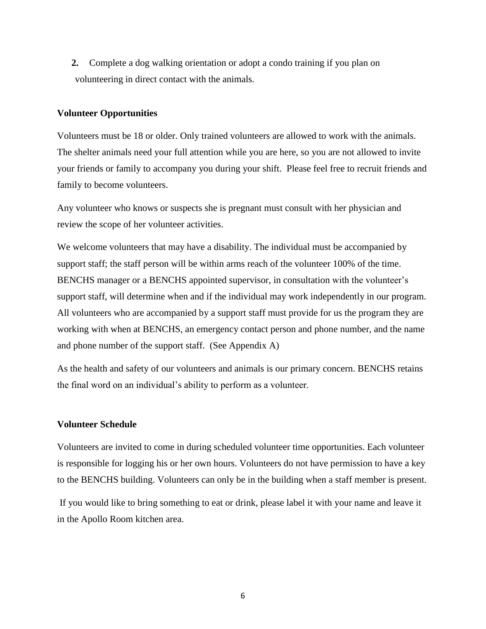**2.** Complete a dog walking orientation or adopt a condo training if you plan on volunteering in direct contact with the animals.

#### **Volunteer Opportunities**

Volunteers must be 18 or older. Only trained volunteers are allowed to work with the animals. The shelter animals need your full attention while you are here, so you are not allowed to invite your friends or family to accompany you during your shift. Please feel free to recruit friends and family to become volunteers.

Any volunteer who knows or suspects she is pregnant must consult with her physician and review the scope of her volunteer activities.

We welcome volunteers that may have a disability. The individual must be accompanied by support staff; the staff person will be within arms reach of the volunteer 100% of the time. BENCHS manager or a BENCHS appointed supervisor, in consultation with the volunteer's support staff, will determine when and if the individual may work independently in our program. All volunteers who are accompanied by a support staff must provide for us the program they are working with when at BENCHS, an emergency contact person and phone number, and the name and phone number of the support staff. (See Appendix A)

As the health and safety of our volunteers and animals is our primary concern. BENCHS retains the final word on an individual's ability to perform as a volunteer.

#### **Volunteer Schedule**

Volunteers are invited to come in during scheduled volunteer time opportunities. Each volunteer is responsible for logging his or her own hours. Volunteers do not have permission to have a key to the BENCHS building. Volunteers can only be in the building when a staff member is present.

If you would like to bring something to eat or drink, please label it with your name and leave it in the Apollo Room kitchen area.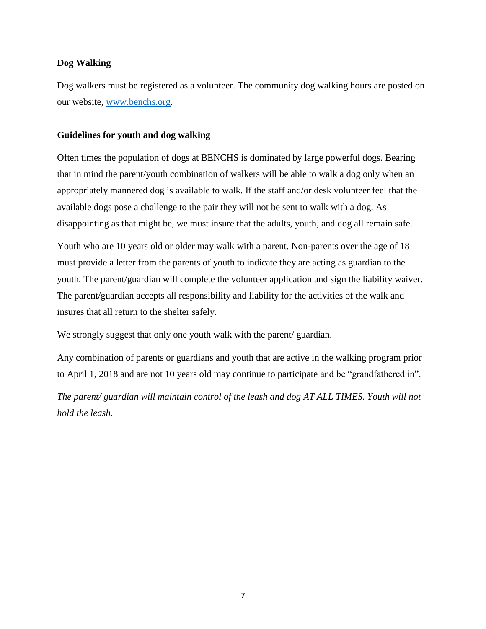#### **Dog Walking**

Dog walkers must be registered as a volunteer. The community dog walking hours are posted on our website, [www.benchs.org.](file:///C:/Users/Kathy.Kathy-HP/Google%20Drive/Volunteers/www.benchs.org)

#### **Guidelines for youth and dog walking**

Often times the population of dogs at BENCHS is dominated by large powerful dogs. Bearing that in mind the parent/youth combination of walkers will be able to walk a dog only when an appropriately mannered dog is available to walk. If the staff and/or desk volunteer feel that the available dogs pose a challenge to the pair they will not be sent to walk with a dog. As disappointing as that might be, we must insure that the adults, youth, and dog all remain safe.

Youth who are 10 years old or older may walk with a parent. Non-parents over the age of 18 must provide a letter from the parents of youth to indicate they are acting as guardian to the youth. The parent/guardian will complete the volunteer application and sign the liability waiver. The parent/guardian accepts all responsibility and liability for the activities of the walk and insures that all return to the shelter safely.

We strongly suggest that only one youth walk with the parent/ guardian.

Any combination of parents or guardians and youth that are active in the walking program prior to April 1, 2018 and are not 10 years old may continue to participate and be "grandfathered in".

*The parent/ guardian will maintain control of the leash and dog AT ALL TIMES. Youth will not hold the leash.*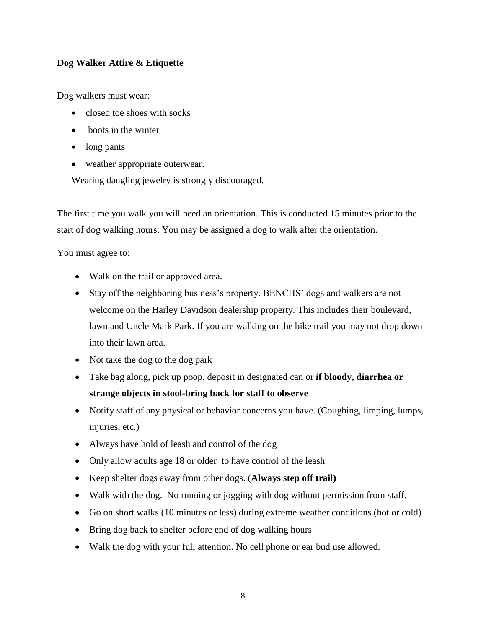#### **Dog Walker Attire & Etiquette**

Dog walkers must wear:

- closed toe shoes with socks
- boots in the winter
- long pants
- weather appropriate outerwear.

Wearing dangling jewelry is strongly discouraged.

The first time you walk you will need an orientation. This is conducted 15 minutes prior to the start of dog walking hours. You may be assigned a dog to walk after the orientation.

You must agree to:

- Walk on the trail or approved area.
- Stay off the neighboring business's property. BENCHS' dogs and walkers are not welcome on the Harley Davidson dealership property. This includes their boulevard, lawn and Uncle Mark Park. If you are walking on the bike trail you may not drop down into their lawn area.
- Not take the dog to the dog park
- Take bag along, pick up poop, deposit in designated can or **if bloody, diarrhea or strange objects in stool-bring back for staff to observe**
- Notify staff of any physical or behavior concerns you have. (Coughing, limping, lumps, injuries, etc.)
- Always have hold of leash and control of the dog
- Only allow adults age 18 or older to have control of the leash
- Keep shelter dogs away from other dogs. (**Always step off trail)**
- Walk with the dog. No running or jogging with dog without permission from staff.
- Go on short walks (10 minutes or less) during extreme weather conditions (hot or cold)
- Bring dog back to shelter before end of dog walking hours
- Walk the dog with your full attention. No cell phone or ear bud use allowed.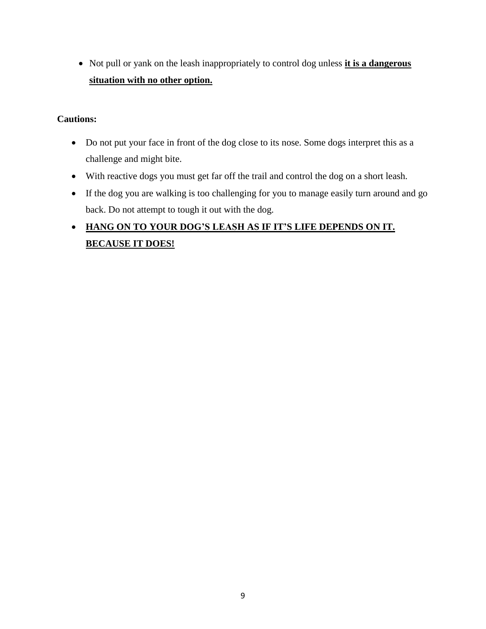• Not pull or yank on the leash inappropriately to control dog unless *it is a dangerous* **situation with no other option.**

#### **Cautions:**

- Do not put your face in front of the dog close to its nose. Some dogs interpret this as a challenge and might bite.
- With reactive dogs you must get far off the trail and control the dog on a short leash.
- If the dog you are walking is too challenging for you to manage easily turn around and go back. Do not attempt to tough it out with the dog.

## **HANG ON TO YOUR DOG'S LEASH AS IF IT'S LIFE DEPENDS ON IT. BECAUSE IT DOES!**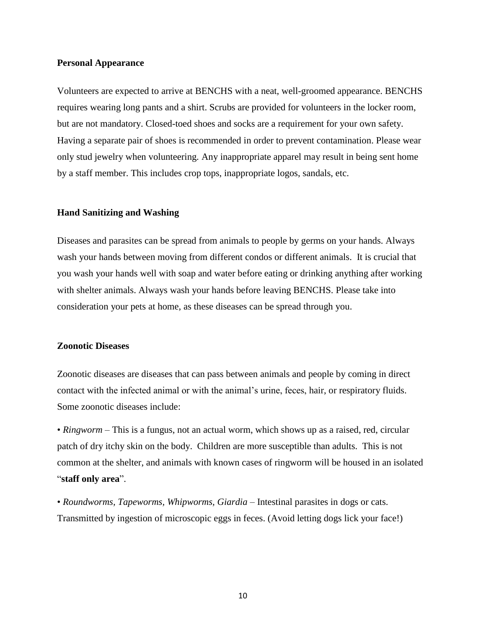#### **Personal Appearance**

Volunteers are expected to arrive at BENCHS with a neat, well-groomed appearance. BENCHS requires wearing long pants and a shirt. Scrubs are provided for volunteers in the locker room, but are not mandatory. Closed-toed shoes and socks are a requirement for your own safety. Having a separate pair of shoes is recommended in order to prevent contamination. Please wear only stud jewelry when volunteering. Any inappropriate apparel may result in being sent home by a staff member. This includes crop tops, inappropriate logos, sandals, etc.

#### **Hand Sanitizing and Washing**

Diseases and parasites can be spread from animals to people by germs on your hands. Always wash your hands between moving from different condos or different animals. It is crucial that you wash your hands well with soap and water before eating or drinking anything after working with shelter animals. Always wash your hands before leaving BENCHS. Please take into consideration your pets at home, as these diseases can be spread through you.

#### **Zoonotic Diseases**

Zoonotic diseases are diseases that can pass between animals and people by coming in direct contact with the infected animal or with the animal's urine, feces, hair, or respiratory fluids. Some zoonotic diseases include:

• *Ringworm* – This is a fungus, not an actual worm, which shows up as a raised, red, circular patch of dry itchy skin on the body. Children are more susceptible than adults. This is not common at the shelter, and animals with known cases of ringworm will be housed in an isolated "**staff only area**".

• *Roundworms, Tapeworms, Whipworms, Giardia* – Intestinal parasites in dogs or cats. Transmitted by ingestion of microscopic eggs in feces. (Avoid letting dogs lick your face!)

10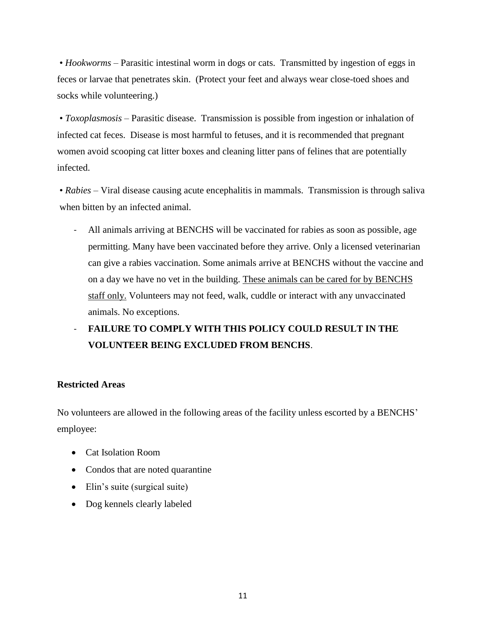• *Hookworms* – Parasitic intestinal worm in dogs or cats. Transmitted by ingestion of eggs in feces or larvae that penetrates skin. (Protect your feet and always wear close-toed shoes and socks while volunteering.)

• *Toxoplasmosis* – Parasitic disease. Transmission is possible from ingestion or inhalation of infected cat feces. Disease is most harmful to fetuses, and it is recommended that pregnant women avoid scooping cat litter boxes and cleaning litter pans of felines that are potentially infected.

• *Rabies* – Viral disease causing acute encephalitis in mammals. Transmission is through saliva when bitten by an infected animal.

- All animals arriving at BENCHS will be vaccinated for rabies as soon as possible, age permitting. Many have been vaccinated before they arrive. Only a licensed veterinarian can give a rabies vaccination. Some animals arrive at BENCHS without the vaccine and on a day we have no vet in the building. These animals can be cared for by BENCHS staff only. Volunteers may not feed, walk, cuddle or interact with any unvaccinated animals. No exceptions.
- **FAILURE TO COMPLY WITH THIS POLICY COULD RESULT IN THE VOLUNTEER BEING EXCLUDED FROM BENCHS**.

#### **Restricted Areas**

No volunteers are allowed in the following areas of the facility unless escorted by a BENCHS' employee:

- Cat Isolation Room
- Condos that are noted quarantine
- Elin's suite (surgical suite)
- Dog kennels clearly labeled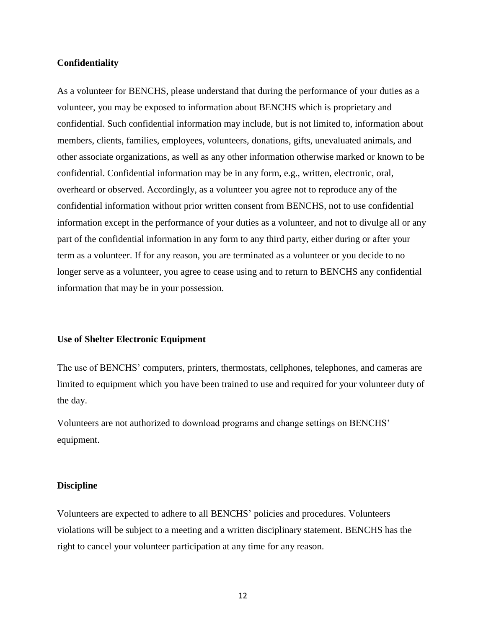#### **Confidentiality**

As a volunteer for BENCHS, please understand that during the performance of your duties as a volunteer, you may be exposed to information about BENCHS which is proprietary and confidential. Such confidential information may include, but is not limited to, information about members, clients, families, employees, volunteers, donations, gifts, unevaluated animals, and other associate organizations, as well as any other information otherwise marked or known to be confidential. Confidential information may be in any form, e.g., written, electronic, oral, overheard or observed. Accordingly, as a volunteer you agree not to reproduce any of the confidential information without prior written consent from BENCHS, not to use confidential information except in the performance of your duties as a volunteer, and not to divulge all or any part of the confidential information in any form to any third party, either during or after your term as a volunteer. If for any reason, you are terminated as a volunteer or you decide to no longer serve as a volunteer, you agree to cease using and to return to BENCHS any confidential information that may be in your possession.

#### **Use of Shelter Electronic Equipment**

The use of BENCHS' computers, printers, thermostats, cellphones, telephones, and cameras are limited to equipment which you have been trained to use and required for your volunteer duty of the day.

Volunteers are not authorized to download programs and change settings on BENCHS' equipment.

#### **Discipline**

Volunteers are expected to adhere to all BENCHS' policies and procedures. Volunteers violations will be subject to a meeting and a written disciplinary statement. BENCHS has the right to cancel your volunteer participation at any time for any reason.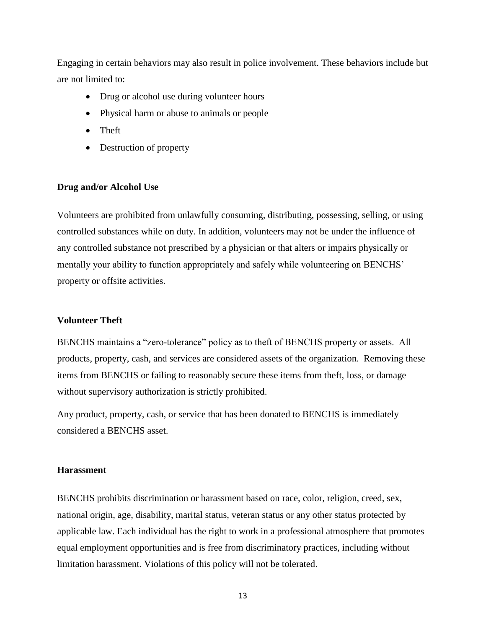Engaging in certain behaviors may also result in police involvement. These behaviors include but are not limited to:

- Drug or alcohol use during volunteer hours
- Physical harm or abuse to animals or people
- Theft
- Destruction of property

#### **Drug and/or Alcohol Use**

Volunteers are prohibited from unlawfully consuming, distributing, possessing, selling, or using controlled substances while on duty. In addition, volunteers may not be under the influence of any controlled substance not prescribed by a physician or that alters or impairs physically or mentally your ability to function appropriately and safely while volunteering on BENCHS' property or offsite activities.

#### **Volunteer Theft**

BENCHS maintains a "zero-tolerance" policy as to theft of BENCHS property or assets. All products, property, cash, and services are considered assets of the organization. Removing these items from BENCHS or failing to reasonably secure these items from theft, loss, or damage without supervisory authorization is strictly prohibited.

Any product, property, cash, or service that has been donated to BENCHS is immediately considered a BENCHS asset.

#### **Harassment**

BENCHS prohibits discrimination or harassment based on race, color, religion, creed, sex, national origin, age, disability, marital status, veteran status or any other status protected by applicable law. Each individual has the right to work in a professional atmosphere that promotes equal employment opportunities and is free from discriminatory practices, including without limitation harassment. Violations of this policy will not be tolerated.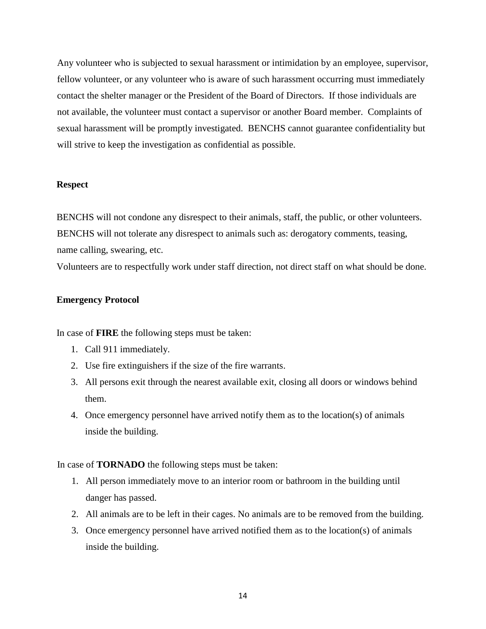Any volunteer who is subjected to sexual harassment or intimidation by an employee, supervisor, fellow volunteer, or any volunteer who is aware of such harassment occurring must immediately contact the shelter manager or the President of the Board of Directors. If those individuals are not available, the volunteer must contact a supervisor or another Board member. Complaints of sexual harassment will be promptly investigated. BENCHS cannot guarantee confidentiality but will strive to keep the investigation as confidential as possible.

#### **Respect**

BENCHS will not condone any disrespect to their animals, staff, the public, or other volunteers. BENCHS will not tolerate any disrespect to animals such as: derogatory comments, teasing, name calling, swearing, etc.

Volunteers are to respectfully work under staff direction, not direct staff on what should be done.

#### **Emergency Protocol**

In case of **FIRE** the following steps must be taken:

- 1. Call 911 immediately.
- 2. Use fire extinguishers if the size of the fire warrants.
- 3. All persons exit through the nearest available exit, closing all doors or windows behind them.
- 4. Once emergency personnel have arrived notify them as to the location(s) of animals inside the building.

In case of **TORNADO** the following steps must be taken:

- 1. All person immediately move to an interior room or bathroom in the building until danger has passed.
- 2. All animals are to be left in their cages. No animals are to be removed from the building.
- 3. Once emergency personnel have arrived notified them as to the location(s) of animals inside the building.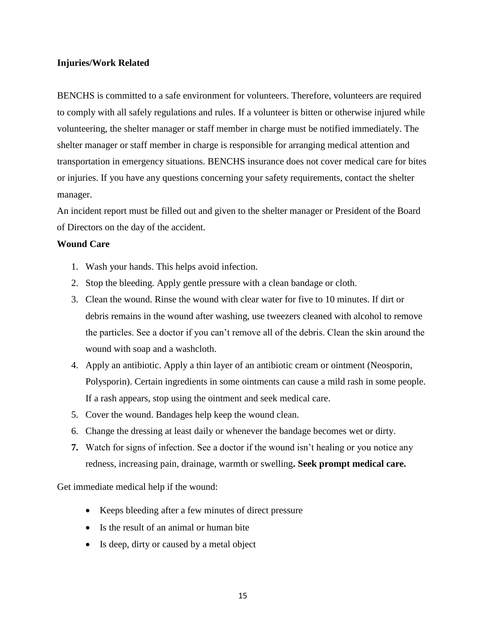#### **Injuries/Work Related**

BENCHS is committed to a safe environment for volunteers. Therefore, volunteers are required to comply with all safely regulations and rules. If a volunteer is bitten or otherwise injured while volunteering, the shelter manager or staff member in charge must be notified immediately. The shelter manager or staff member in charge is responsible for arranging medical attention and transportation in emergency situations. BENCHS insurance does not cover medical care for bites or injuries. If you have any questions concerning your safety requirements, contact the shelter manager.

An incident report must be filled out and given to the shelter manager or President of the Board of Directors on the day of the accident.

#### **Wound Care**

- 1. Wash your hands. This helps avoid infection.
- 2. Stop the bleeding. Apply gentle pressure with a clean bandage or cloth.
- 3. Clean the wound. Rinse the wound with clear water for five to 10 minutes. If dirt or debris remains in the wound after washing, use tweezers cleaned with alcohol to remove the particles. See a doctor if you can't remove all of the debris. Clean the skin around the wound with soap and a washcloth.
- 4. Apply an antibiotic. Apply a thin layer of an antibiotic cream or ointment (Neosporin, Polysporin). Certain ingredients in some ointments can cause a mild rash in some people. If a rash appears, stop using the ointment and seek medical care.
- 5. Cover the wound. Bandages help keep the wound clean.
- 6. Change the dressing at least daily or whenever the bandage becomes wet or dirty.
- **7.** Watch for signs of infection. See a doctor if the wound isn't healing or you notice any redness, increasing pain, drainage, warmth or swelling**. Seek prompt medical care.**

Get immediate medical help if the wound:

- Keeps bleeding after a few minutes of direct pressure
- Is the result of an animal or human bite
- Is deep, dirty or caused by a metal object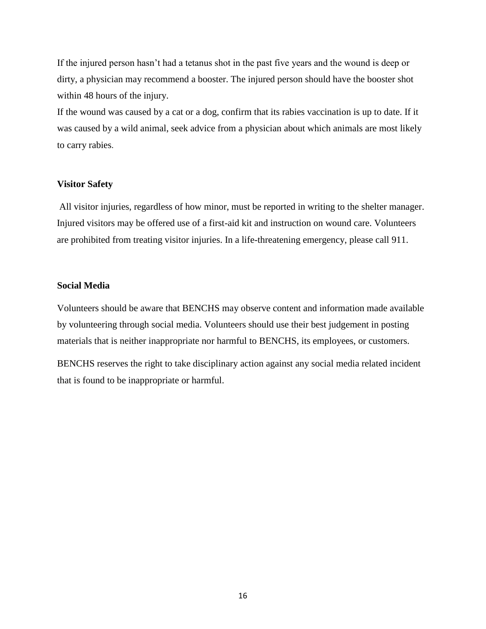If the injured person hasn't had a tetanus shot in the past five years and the wound is deep or dirty, a physician may recommend a booster. The injured person should have the booster shot within 48 hours of the injury.

If the wound was caused by a cat or a dog, confirm that its rabies vaccination is up to date. If it was caused by a wild animal, seek advice from a physician about which animals are most likely to carry rabies.

#### **Visitor Safety**

All visitor injuries, regardless of how minor, must be reported in writing to the shelter manager. Injured visitors may be offered use of a first-aid kit and instruction on wound care. Volunteers are prohibited from treating visitor injuries. In a life-threatening emergency, please call 911.

#### **Social Media**

Volunteers should be aware that BENCHS may observe content and information made available by volunteering through social media. Volunteers should use their best judgement in posting materials that is neither inappropriate nor harmful to BENCHS, its employees, or customers.

BENCHS reserves the right to take disciplinary action against any social media related incident that is found to be inappropriate or harmful.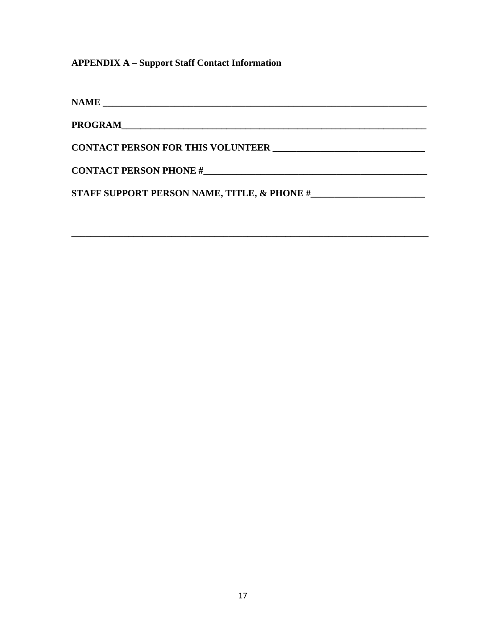### **APPENDIX A - Support Staff Contact Information**

| PROGRAM                                     |
|---------------------------------------------|
|                                             |
| <b>CONTACT PERSON FOR THIS VOLUNTEER</b>    |
|                                             |
| <b>CONTACT PERSON PHONE #</b>               |
| STAFF SUPPORT PERSON NAME, TITLE, & PHONE # |